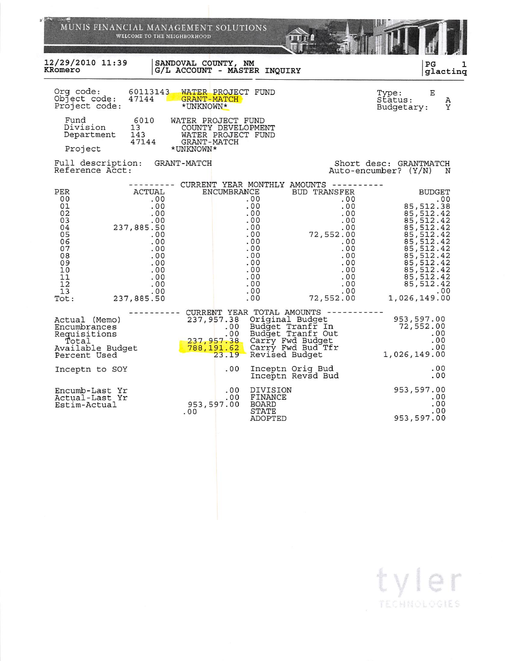| MUNIS FINANCIAL MANAGEMENT SOLUTIONS                                                                                                                                                                                                    | WELCOME TO THE NEIGHBORHOOD                                                                          |                                                                                                       |                                                                                                                                                                       |                                                  |                                                                                                                                                                                                 |
|-----------------------------------------------------------------------------------------------------------------------------------------------------------------------------------------------------------------------------------------|------------------------------------------------------------------------------------------------------|-------------------------------------------------------------------------------------------------------|-----------------------------------------------------------------------------------------------------------------------------------------------------------------------|--------------------------------------------------|-------------------------------------------------------------------------------------------------------------------------------------------------------------------------------------------------|
| 12/29/2010 11:39<br>KRomero                                                                                                                                                                                                             | SANDOVAL COUNTY, NM<br>G/L ACCOUNT - MASTER INQUIRY                                                  |                                                                                                       |                                                                                                                                                                       |                                                  | P <sub>G</sub><br>glacting                                                                                                                                                                      |
| Org code:<br>60113143<br>Object code:<br>Project code:                                                                                                                                                                                  | WATER PROJECT FUND<br>47144 GRANT-MATCH<br>*UNKNOWN*                                                 |                                                                                                       |                                                                                                                                                                       | Type:<br>Status:<br>Budgetary:                   | Ε<br>Α<br>Y                                                                                                                                                                                     |
| Fund<br>6010<br>Division<br>13<br>143<br>Department<br>47144<br>Project                                                                                                                                                                 | WATER PROJECT FUND<br>COUNTY DEVELOPMENT<br>WATER PROJECT FUND<br>WALER<br>GRANT-MATCH<br>*UNKNOWN*  |                                                                                                       |                                                                                                                                                                       |                                                  |                                                                                                                                                                                                 |
| Full description: GRANT-MATCH<br>Reference Acct:                                                                                                                                                                                        |                                                                                                      |                                                                                                       |                                                                                                                                                                       | Short desc: GRANTMATCH<br>Auto-encumber? (Y/N) N |                                                                                                                                                                                                 |
| PER<br><b>ACTUAL</b><br>00<br>.00<br>01<br>.00<br>02<br>.00<br>03<br>.00<br>04<br>237,885.50<br>05<br>.00<br>06<br>.00<br>07<br>.00<br>08<br>.00<br>09<br>.00<br>10<br>.00<br>11<br>.00<br>12<br>.00<br>13<br>.00<br>237,885.50<br>Tot: | ENCUMBRANCE                                                                                          | .00<br>.00<br>.00<br>.00<br>.00<br>.00<br>.00<br>.00<br>.00<br>.00<br>.00<br>.00<br>.00<br>.00<br>.00 | CURRENT YEAR MONTHLY AMOUNTS ----------<br><b>BUD TRANSFER</b><br>.00<br>.00<br>.00<br>.00<br>72,552.00<br>.00<br>.00<br>.00<br>.00<br>.00<br>.00<br>.00<br>72,552.00 | 1,026,149.00                                     | <b>BUDGET</b><br>.00<br>85,512.38<br>85, 512.42<br>85, 512.42<br>85, 512.42<br>85, 512.42<br>85, 512.42<br>85, 512.42<br>85, 512.42<br>85,512.42<br>85, 512.42<br>85,512.42<br>85,512.42<br>.00 |
| Actual (Memo)<br>Encumbrances<br>Requisitions<br>Total<br>Available Budget<br>Percent Used                                                                                                                                              | .00<br>.00 Budget Tranfr Out<br>237,957.38 Carry Fwd Budget<br>788,191.62 Carry Fwd Bud Tfr<br>23.19 | 237,957.38 Original Budget<br>Budget Tranfr In<br>Budget Tranfr Out<br>Revised Budget                 | CURRENT YEAR TOTAL AMOUNTS -----------                                                                                                                                | $953, 597.00$<br>$72, 552.00$<br>$.00$<br>$00$   |                                                                                                                                                                                                 |
| Inceptn to SOY                                                                                                                                                                                                                          | .00                                                                                                  | Inceptn Orig Bud<br>Inceptn Revsd Bud                                                                 |                                                                                                                                                                       |                                                  | .00<br>.00                                                                                                                                                                                      |
| Encumb-Last Yr<br>Actual-Last Yr<br>Estim-Actual                                                                                                                                                                                        | .00<br>.00<br>953,597.00<br>.00                                                                      | DIVISION<br>FINANCE<br>BOARD<br>STATE<br>ADOPTED                                                      |                                                                                                                                                                       | 953,597.00<br>953,597.00                         | .00<br>.00<br>.00                                                                                                                                                                               |

tyler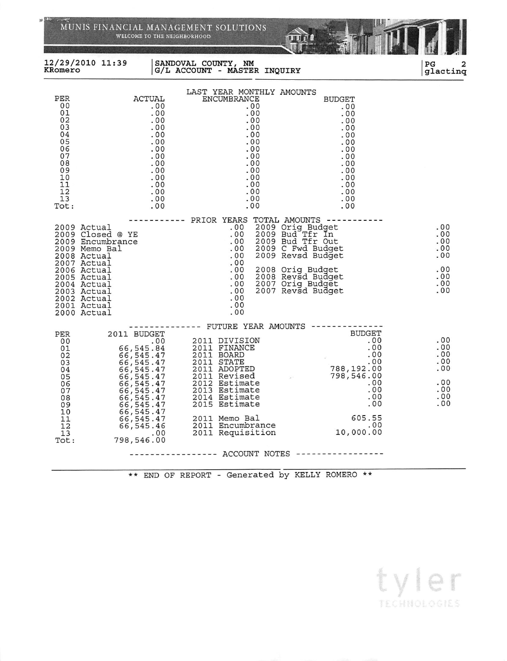|                                                                                                                                                                                         | WELCOME TO THE NEIGHBORHOOD                                                                                                                                                                           | MUNIS FINANCIAL MANAGEMENT SOLUTIONS                                                                                                                                                                                                                          |                                                                                                                                                                                     |                                                                                                                                 |                                                             |
|-----------------------------------------------------------------------------------------------------------------------------------------------------------------------------------------|-------------------------------------------------------------------------------------------------------------------------------------------------------------------------------------------------------|---------------------------------------------------------------------------------------------------------------------------------------------------------------------------------------------------------------------------------------------------------------|-------------------------------------------------------------------------------------------------------------------------------------------------------------------------------------|---------------------------------------------------------------------------------------------------------------------------------|-------------------------------------------------------------|
| 12/29/2010 11:39<br>KRomero                                                                                                                                                             |                                                                                                                                                                                                       | SANDOVAL COUNTY, NM<br>G/L ACCOUNT - MASTER INQUIRY                                                                                                                                                                                                           |                                                                                                                                                                                     |                                                                                                                                 | $_{PG}$<br>glacting                                         |
| PER<br>00<br>01<br>02<br>03<br>04<br>05<br>06<br>07<br>08<br>09<br>10<br>11<br>12<br>13<br>Tot:                                                                                         | ACTUAL<br>.00<br>.00<br>.00<br>.00<br>.00<br>.00<br>.00<br>.00<br>.00<br>.00<br>.00<br>.00<br>.00<br>.00<br>.00                                                                                       | LAST YEAR MONTHLY AMOUNTS<br>ENCUMBRANCE<br>.00<br>.00<br>.00<br>.00<br>.00<br>.00<br>.00<br>.00<br>.00<br>.00<br>.00<br>.00<br>.00<br>.00<br>.00                                                                                                             |                                                                                                                                                                                     | <b>BUDGET</b><br>.00<br>.00<br>.00<br>.00<br>.00<br>.00<br>.00<br>.00<br>.00<br>.00<br>.00<br>.00<br>.00<br>.00<br>.00          |                                                             |
| 2009 Actual<br>2009 Encumbrance<br>2009 Memo Bal<br>2008 Actual<br>2007 Actual<br>2006 Actual<br>2005 Actual<br>2004 Actual<br>2003 Actual<br>2002 Actual<br>2001 Actual<br>2000 Actual | 2009 Closed @ YE                                                                                                                                                                                      | ----------- PRIOR YEARS TOTAL AMOUNTS -------<br>.00<br>.00<br>.00<br>.00<br>.00<br>.00<br>.00<br>.00<br>.00<br>.00<br>.00<br>.00<br>.00                                                                                                                      | 2009 Orig_Budget<br>2009 Bud Tfr In<br>2009 Bud Tfr Out<br>2009 C Fwd Budget<br>2009 Revsd Budget<br>2008 Orig Budget<br>2008 Revsd Budget<br>2007 Orig Budget<br>2007 Revsd Budget |                                                                                                                                 | .00<br>.00<br>.00<br>.00<br>.00<br>.00<br>.00<br>.00<br>.00 |
| PER<br>00<br>01<br>02<br>03<br>04<br>05<br>06<br>07<br>08<br>09<br>10<br>11<br>12<br>13<br>Tot:                                                                                         | 2011 BUDGET<br>.00<br>66,545.84<br>66,545.47<br>66,545.47<br>66, 545.47<br>66,545.47<br>66,545.47<br>66,545.47<br>66,545.47<br>66,545.47<br>66,545.47<br>66, 545.47<br>66,545.46<br>.00<br>798,546.00 | ------- FUTURE YEAR AMOUNTS -------<br>2011 DIVISION<br>2011 FINANCE<br>2011 BOARD<br>2011 STATE<br>2011 ADOPTED<br>2011 Revised<br>2012 Estimate<br>2013 Estimate<br>2014 Estimate<br>2015 Estimate<br>2011 Memo Bal<br>2011 Encumbrance<br>2011 Requisition |                                                                                                                                                                                     | <b>BUDGET</b><br>.00<br>.00<br>.00<br>.00<br>788,192.00<br>798,546.00<br>.00<br>.00<br>.00<br>.00<br>605.55<br>.00<br>10,000.00 | .00<br>.00<br>.00<br>.00<br>.00<br>.00<br>.00<br>.00<br>.00 |
|                                                                                                                                                                                         |                                                                                                                                                                                                       |                                                                                                                                                                                                                                                               |                                                                                                                                                                                     |                                                                                                                                 |                                                             |

 $\mathcal{D}$ 

\*\* END OF REPORT - Generated by KELLY ROMERO \*\*

tyler